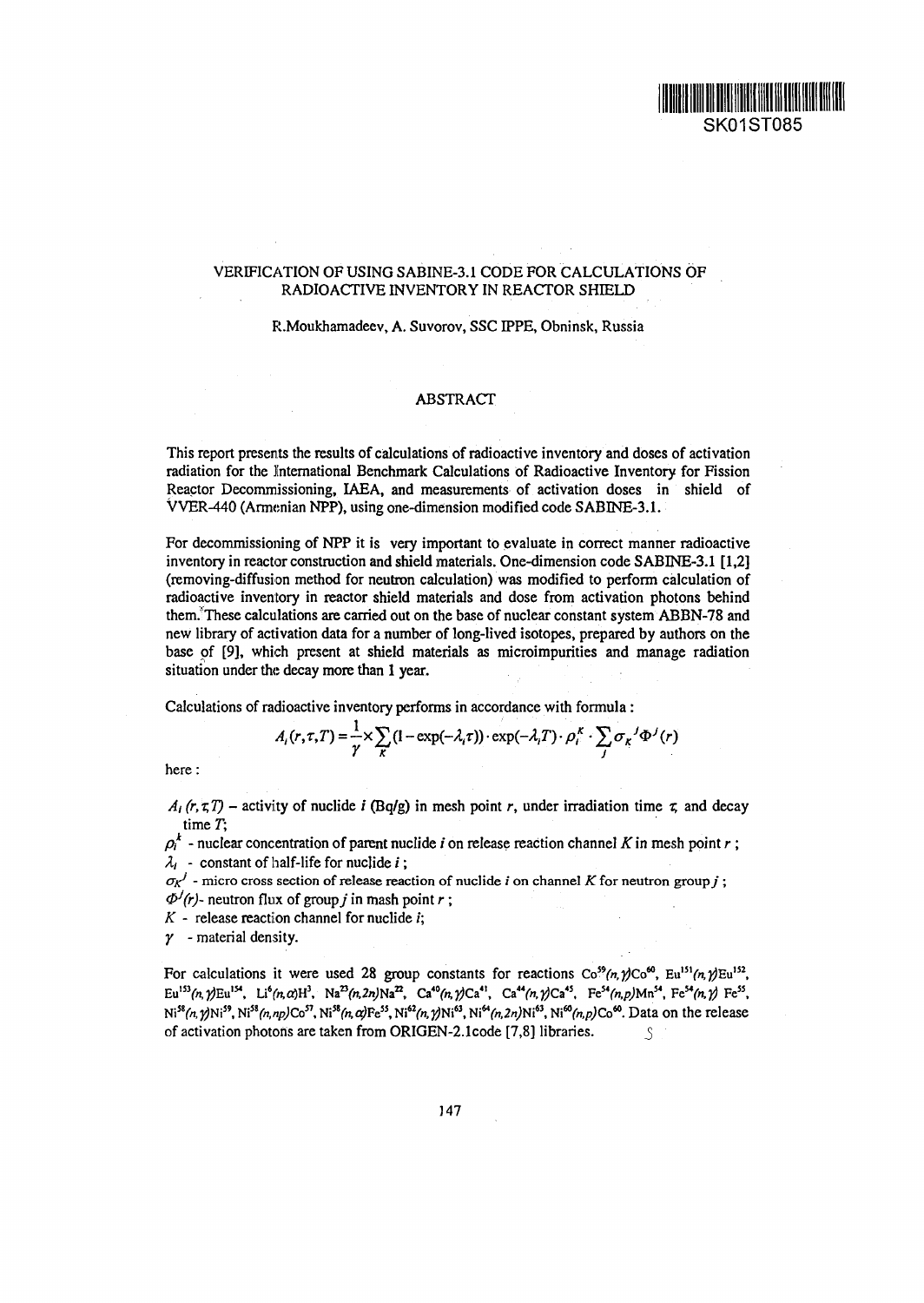## VERIFICATION OF USING SABINE-3.1 CODE FOR CALCULATIONS OF RADIOACTIVE INVENTORY IN REACTOR SHIELD

## R.Moukhamadeev, A. Suvorov, SSCIPPE, Obninsk, Russia

## ABSTRACT

This report presents the results of calculations of radioactive inventory and doses of activation radiation for the International Benchmark Calculations of Radioactive Inventory for Fission Reactor Decommissioning, IAEA, and measurements of activation doses in shield of VVER-440 (Armenian NPP), using one-dimension modified code SABINE-3.1.

For decommissioning of NPP it is very important to evaluate in correct manner radioactive inventory in reactor construction and shield materials. One-dimension code SABINE-3.1 [1,2] (removing-diffusion method for neutron calculation) was modified to perform calculation of radioactive inventory in reactor shield materials and dose from activation photons behind them; These calculations are carried out on the base of nuclear constant system ABBN-78 and new library of activation data for a number of long-lived isotopes, prepared by authors on the base of [9], which present at shield materials as microimpurities and manage radiation situation under the decay more than 1 year.

Calculations of radioactive inventory performs in accordance with formula:

$$
A_i(r,\tau,T) = \frac{1}{\gamma} \times \sum_{k} (1 - \exp(-\lambda_i \tau)) \cdot \exp(-\lambda_i T) \cdot \rho_i^k \cdot \sum_j \sigma_k^j \Phi^j(r)
$$

here:

 $A_i(r, \tau, T)$  – activity of nuclide *i* (Bq/g) in mesh point *r*, under irradiation time  $\tau$ , and decay time  $T$ ;

 $p_i^k$  - nuclear concentration of parent nuclide *i* on release reaction channel K in mesh point r;  $\lambda_i$  - constant of half-life for nuclide *i*;

 $\sigma_K^j$  - micro cross section of release reaction of nuclide i on channel K for neutron group i;  $\Phi^{J}(r)$ - neutron flux of group *j* in mash point *r*;

 $K$  - release reaction channel for nuclide  $i$ ;

*Y -* material density.

For calculations it were used 28 group constants for reactions  $\text{Co}^{59}(n, \text{p})\text{Co}^{60}$ ,  $\text{Eu}^{151}(n, \text{p})\text{Eu}^{152}$ , <sup>153</sup>(n, y)Eu<sup>154</sup>, Li<sup>6</sup>(n, a)H<sup>3</sup>, Na<sup>23</sup>(n, 2n)Na<sup>22</sup>, Ca<sup>40</sup>(n, y)Ca<sup>41</sup>, Ca<sup>44</sup>(n, y)Ca<sup>45</sup>, Fe<sup>54</sup>(n, p)Mn<sup>54</sup>, Fe<sup>54</sup>(n, y) Fe<sup>55</sup>, i<sup>59</sup>, Ni<sup>58</sup>(n,np)Co<sup>57</sup>, Ni<sup>58</sup>(n, α)Fe<sup>55</sup>, Ni<sup>62</sup>(n, γ)Ni<sup>63</sup>, Ni<sup>64</sup>(n,2n)Ni<sup>63</sup>, Ni<sup>60</sup>(n,p)Co<sup>60</sup>. Data on the release of activation photons are taken from ORIGEN-2.Icode [7,8] libraries. ^5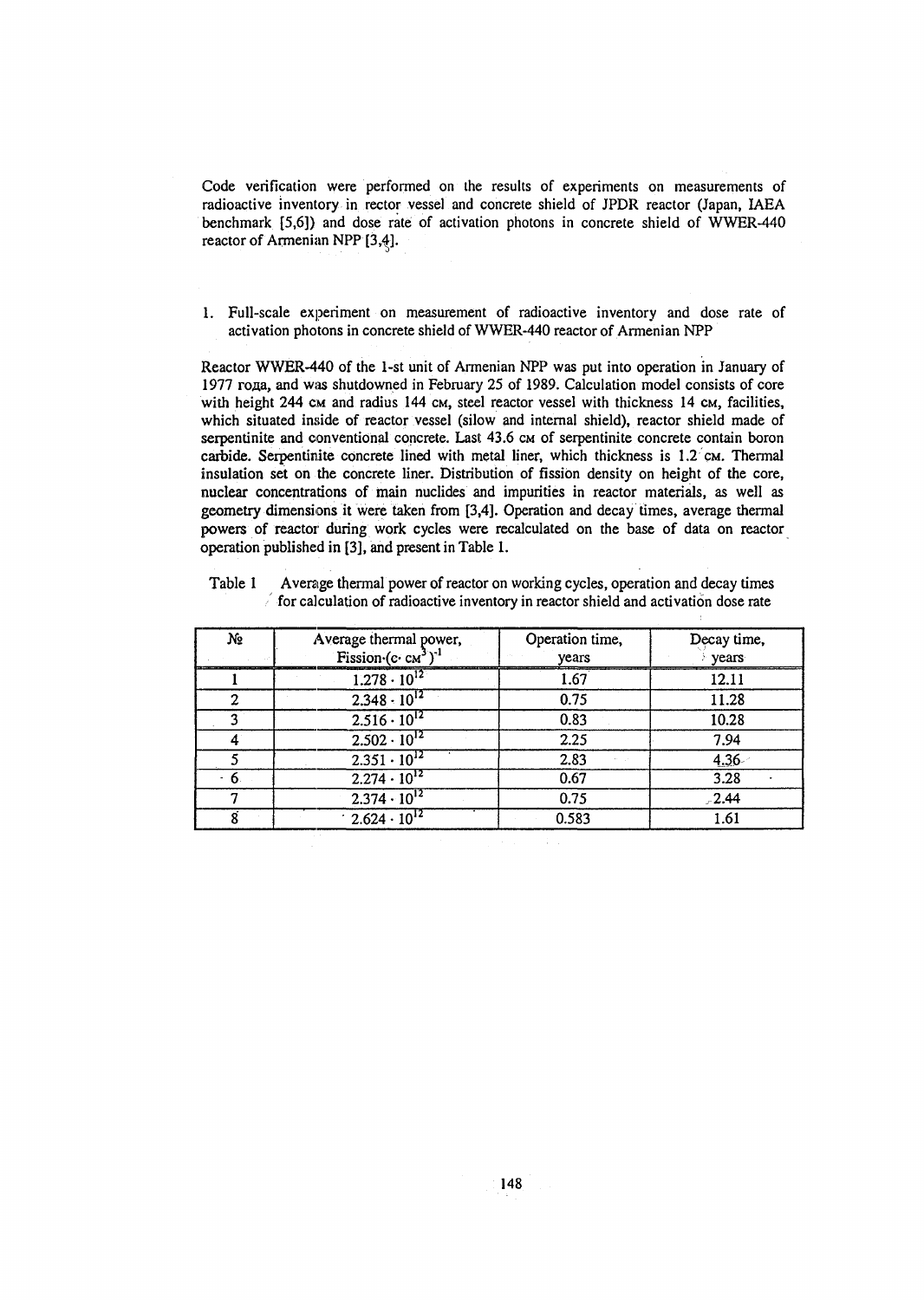Code verification were performed on the results of experiments on measurements of radioactive inventory in rector vessel and concrete shield of JPDR reactor (Japan, IAEA benchmark [5,6]) and dose rate of activation photons in concrete shield of WWER-440 reactor of Armenian NPP [3,4].

1. Full-scale experiment on measurement of radioactive inventory and dose rate of activation photons in concrete shield of WWER-440 reactor of Armenian NPP

Reactor WWER-440 of the 1-st unit of Armenian NPP was put into operation in January of 1977 года, and was shutdowned in February 25 of 1989. Calculation model consists of core with height 244 cm and radius 144 cm, steel reactor vessel with thickness 14 cm, facilities, which situated inside of reactor vessel (silow and internal shield), reactor shield made of serpentinite and conventional concrete. Last 43.6 cm of serpentinite concrete contain boron carbide. Serpentinite concrete lined with metal liner, which thickness is  $1.2 \text{ cm}$ . Thermal insulation set on the concrete liner. Distribution of fission density on height of the core, nuclear concentrations of main nuclides and impurities in reactor materials, as well as geometry dimensions it were taken from [3,4]. Operation and decay times, average thermal powers of reactor during work cycles were recalculated on the base of data on reactor operation published in [3], and present in Table 1.

| yō | Average thermal power,<br>Fission $(c \cdot cM^3)^{-1}$ | Operation time,<br>years | Decay time,<br>vears |
|----|---------------------------------------------------------|--------------------------|----------------------|
|    | $1.278 \cdot 10^{12}$                                   | 1.67                     | 12.11                |
|    | $2.348 \cdot 10^{12}$                                   | 0.75                     | 11.28                |
|    | $2.516 \cdot 10^{12}$                                   | 0.83                     | 10.28                |
|    | $2.502 \cdot 10^{12}$                                   | 2.25                     | 7.94                 |
|    | $2.351 \cdot 10^{12}$                                   | 2.83                     | 4.36                 |
| n  | $2.274 \cdot 10^{12}$                                   | 0.67                     | 3.28                 |
|    | $2.374 \cdot 10^{12}$                                   | 0.75                     | $-2.44$              |
|    | $2.624 \cdot 10^{12}$                                   | 0.583                    | 1.61                 |

Table 1 Average thermal power of reactor on working cycles, operation and decay times  $\epsilon$  for calculation of radioactive inventory in reactor shield and activation dose rate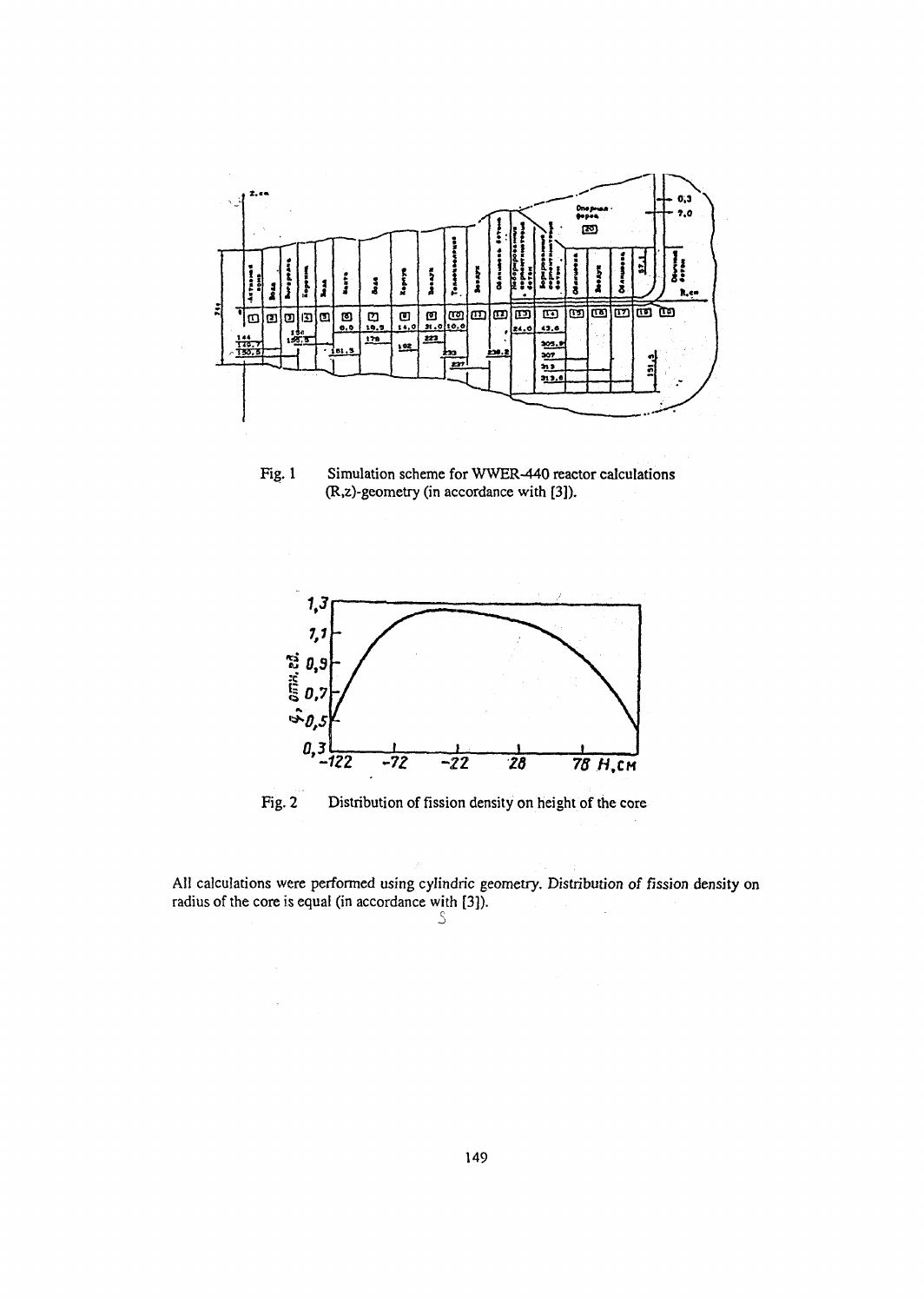

Fig. 1 Simulation scheme for WWER-440 reactor calculations (R,z)-geometry (in accordance with [3]).



Fig. 2 Distribution of fission density on height of the core

All calculations were performed using cylindric geometry. Distribution *of* fission density on radius of the core is equal (in accordance with [3]).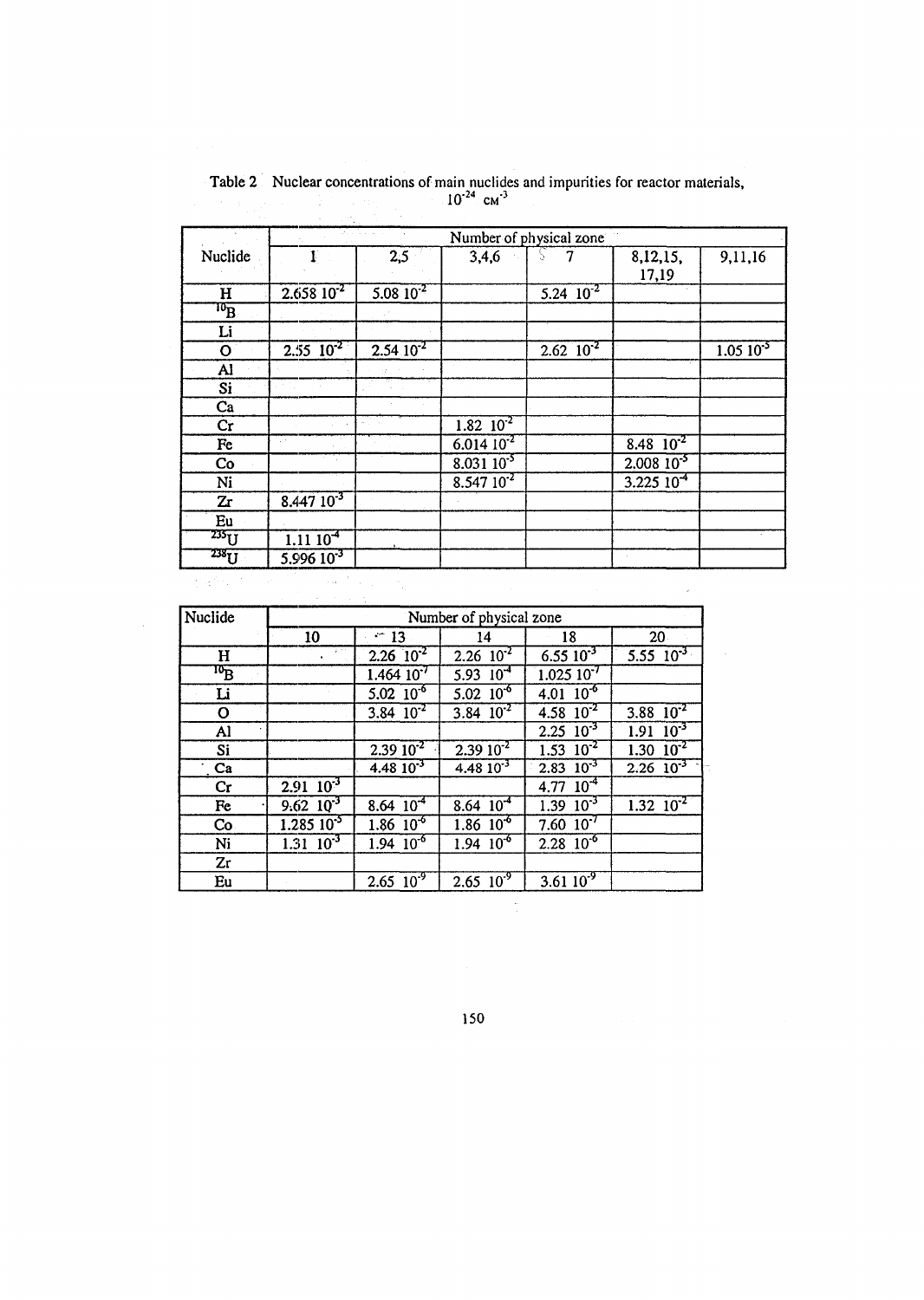|                         |                                                                                                                          | William Co                |                           | Number of physical zone |                  |                           |
|-------------------------|--------------------------------------------------------------------------------------------------------------------------|---------------------------|---------------------------|-------------------------|------------------|---------------------------|
| Nuclide                 | $\mathbf{I}$                                                                                                             | 2,5                       | 3,4,6                     |                         | 8,12,15,         | 9,11,16                   |
|                         |                                                                                                                          |                           |                           |                         | 17,19            |                           |
| $\mathbf H$             | $2.65810^{2}$                                                                                                            | $5.08 \times 10^{-2}$     |                           | $5.24 \cdot 10^{-2}$    |                  |                           |
| $\overline{\mathbf{p}}$ |                                                                                                                          |                           |                           |                         |                  |                           |
| Li                      |                                                                                                                          |                           |                           |                         |                  |                           |
| $\mathbf O$             | $2.55 \times 10^{-2}$                                                                                                    | $2.54 \overline{10^{-2}}$ |                           | $2.62 \, 10^{-2}$       |                  | $1.05 \overline{10^{-5}}$ |
| Al                      |                                                                                                                          |                           |                           |                         |                  |                           |
| Si.                     |                                                                                                                          |                           |                           |                         |                  |                           |
| Ca                      |                                                                                                                          |                           |                           |                         |                  |                           |
| Cr                      |                                                                                                                          |                           | $1.82 \overline{10^{-2}}$ |                         |                  |                           |
| Fe                      |                                                                                                                          |                           | $6.014 10^{-2}$           |                         | 8.48 $10^{-2}$   |                           |
| Co                      |                                                                                                                          |                           | $8.03110^{-5}$            |                         | $2.008\ 10^{-5}$ |                           |
| Ni                      |                                                                                                                          |                           | $8.54710^{2}$             |                         | $3.225\,10^{-4}$ |                           |
| Zr                      | $8.44710^{-3}$                                                                                                           |                           |                           |                         |                  |                           |
| Eu                      |                                                                                                                          |                           |                           |                         |                  |                           |
| $235\overline{U}$       | 1.1110 <sup>4</sup>                                                                                                      |                           |                           |                         |                  |                           |
| $238 \overline{U}$      | $5.99610^{3}$                                                                                                            |                           |                           |                         |                  |                           |
| 医产品质                    | $\label{eq:1} \mathcal{L}_{\text{max}} = \frac{1}{2} \left( \mathcal{L}_{\text{max}} - \mathcal{L}_{\text{max}} \right)$ |                           |                           |                         |                  |                           |

Table 2 Nuclear concentrations of main nuclides and impurities for reactor materials,<br> $10^{-24}$  cm<sup>-3</sup>

 $\hat{\mathcal{A}}$ 

| Nuclide                              | Number of physical zone |                           |                             |                           |                            |  |
|--------------------------------------|-------------------------|---------------------------|-----------------------------|---------------------------|----------------------------|--|
|                                      | 10                      | $-13$                     | 14                          | 18                        | 20 <sub>1</sub>            |  |
| $\mathbf H$                          |                         | $2.26 \overline{10^2}$    | $2.26 \overline{10^{-2}}$   | $6.55 \overline{10^{-3}}$ | $5.55 \ \ 10^{-3}$         |  |
| $\overline{\mathbf{p}}_{\mathbf{B}}$ |                         | $1.46410^{7}$             | $5.93 \ 10^{-4}$            | $1.025\ 10^{-7}$          |                            |  |
| Li                                   |                         | $5.02 \ 10^{-6}$          | $5.02 \ 10^{-6}$            | $4.01 \ \ 10^{-6}$        |                            |  |
| O                                    |                         | 3.84 $10^{-2}$            | 3.84 $10^{-2}$              | 4.58 $10^{-2}$            | 3.88 $10^{-2}$             |  |
| Al                                   |                         |                           |                             | $2.25 \ \ 10^{-3}$        | $\frac{10^{3}}{2}$<br>1.91 |  |
| Si                                   |                         | $2.3910^{2}$              | $2.3910^{2}$                | $1.53 \overline{10^{-2}}$ | $1.30 \overline{10^{2}}$   |  |
| $\cdot$ Ca                           |                         | $4.48\,10^{-3}$           | $4.48 \overline{10^{-3}}$   | $2.83 \quad 10^{-3}$      | $2.26 \overline{10^3}$     |  |
| Cr                                   | $2.91 \ 10^{-3}$        |                           |                             | 4.77 $10^4$               |                            |  |
| Fe                                   | $9.62 \ 10^{-3}$        | 8.64 $10^4$               | $8.64 \overline{10^{-4}}$   | $1.39 \ 10^{-3}$          | $1.32 \overline{10^{-2}}$  |  |
| Co <sub>1</sub>                      | $1.285\ 10^{5}$         | $1.86 \ 10^{-6}$          | $1.86~10^{6}$               | $7.60 \, 10^{-7}$         |                            |  |
| Ni                                   | $1.31 \ 10^{-3}$        | $1.94 \ 10^{-6}$          | $1.94 \overline{10^6}$      | $2.28 \ 10^{-6}$          |                            |  |
| Zr                                   |                         |                           |                             |                           |                            |  |
| Eu                                   |                         | $2.65 \overline{10^{-9}}$ | $2.65 \ \overline{10^{-9}}$ | 3.61 $10^{-9}$            |                            |  |

150

 $\frac{1}{\sqrt{2}}$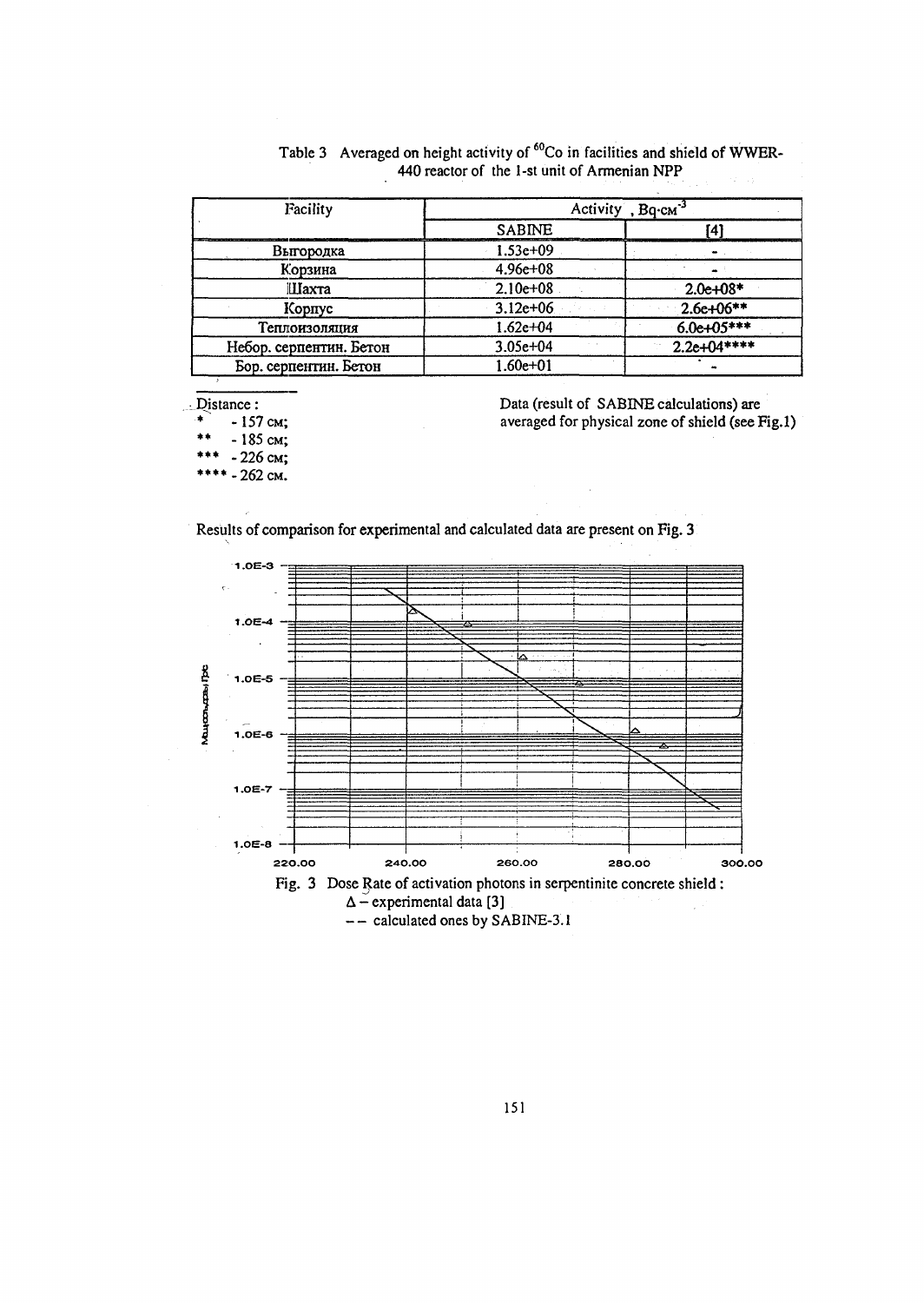| Facility                | Activity, $Bq$ - $cm^{-3}$ |              |  |
|-------------------------|----------------------------|--------------|--|
|                         | <b>SABINE</b>              | ΄4΄          |  |
| Выгородка               | $1.53e+09$                 |              |  |
| Корзина                 | $4.96e + 08$               |              |  |
| Шахта                   | $2.10e+08$                 | $2.0e+08*$   |  |
| Корпус                  | $3.12e+06$                 | $2.6e+06**$  |  |
| Теплоизоляция           | $1.62e + 04$               | $6.0e+05***$ |  |
| Небор. серпентин. Бетон | $3.05e + 04$               | $2.2e+04***$ |  |
| Бор. серпентин. Бетон   | 1.60e+01                   |              |  |

| Table 3 Averaged on height activity of <sup>60</sup> Co in facilities and shield of WWER- |  |
|-------------------------------------------------------------------------------------------|--|
| 440 reactor of the 1-st unit of Armenian NPP<br>アクティー・ショック かいしょう 不手のない                    |  |

Distance:

 $*$  -157 cm;

 $-185$  cm;

\*\*\*  $-226$  cm;

\*\*\*\* - 262 cm.

Data (result of SABINE calculations) are averaged for physical zone of shield (see Fig.l)

 $\bar{\bar{z}}$ 





-- calculated ones by SABINE-3.1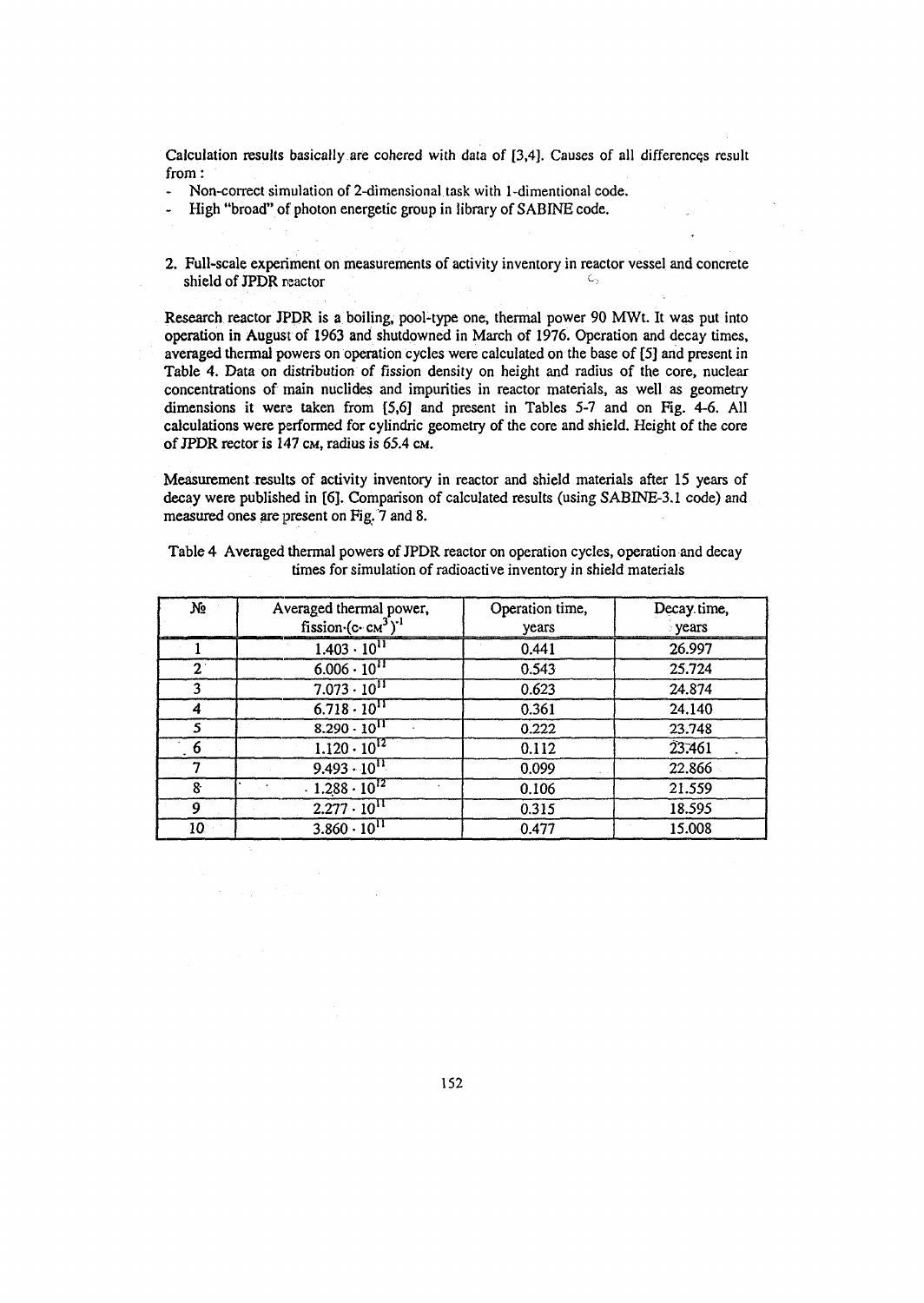Calculation results basically are cohered with data of [3,4]. Causes of all differences result from:

- Non-correct simulation of 2-dimensional task with 1-dimentional code.
- High "broad" of photon energetic group in library of SABINE code.
- 2. Full-scale experiment on measurements of activity inventory in reactor vessel and concrete shield of JPDR reactor  *c -*

Research reactor JPDR is a boiling, pool-type one, thermal power 90 MWt. It was put into operation in August of 1963 and shutdowned in March of 1976. Operation and decay times, averaged thermal powers on operation cycles were calculated on the base of [5] and present in Table 4. Data on distribution of fission density on height and radius of the core, nuclear concentrations of main nuclides and impurities in reactor materials, as well as geometry dimensions it were taken from [5,6] and present in Tables 5-7 and on Fig. 4-6. All calculations were performed for cylindric geometry of the core and shield. Height of the core of JPDR rector is 147 CM, radius is 65.4 CM.

Measurement results of activity inventory in reactor and shield materials after 15 years of decay were published in [6]. Comparison of calculated results (using SABINE-3.1 code) and measured ones are present on Fig. 7 and 8.

| No          | Averaged thermal power,<br>fission $(c \cdot c_M^3)^{-1}$ | Operation time,<br>years | Decay time,<br><b>years</b> |
|-------------|-----------------------------------------------------------|--------------------------|-----------------------------|
|             | $1.403 \cdot 10^{11}$                                     | 0.441                    | 26.997                      |
| $2^{\circ}$ | $6.006 \cdot 10^{11}$                                     | 0.543                    | 25.724                      |
|             | $7.073 \cdot 10^{11}$                                     | 0.623                    | 24.874                      |
|             | $6.718 \cdot 10^{11}$                                     | 0.361                    | 24.140                      |
|             | $8.290 \cdot 10^{11}$                                     | 0.222                    | 23.748                      |
| 6           | $1.120 \cdot 10^{12}$                                     | 0.112                    | 23.461                      |
|             | $9.493 \cdot 10^{11}$                                     | 0.099                    | 22.866                      |
| 8           | $.1.288 \cdot 10^{12}$                                    | 0.106                    | 21.559                      |
| 9           | $2.277 \cdot 10^{11}$                                     | 0.315                    | 18.595                      |
| 10.         | $3.860 \cdot 10^{11}$                                     | 0.477                    | 15.008                      |

Table 4 Averaged thermal powers of JPDR reactor on operation cycles, operation and decay times for simulation of radioactive inventory in shield materials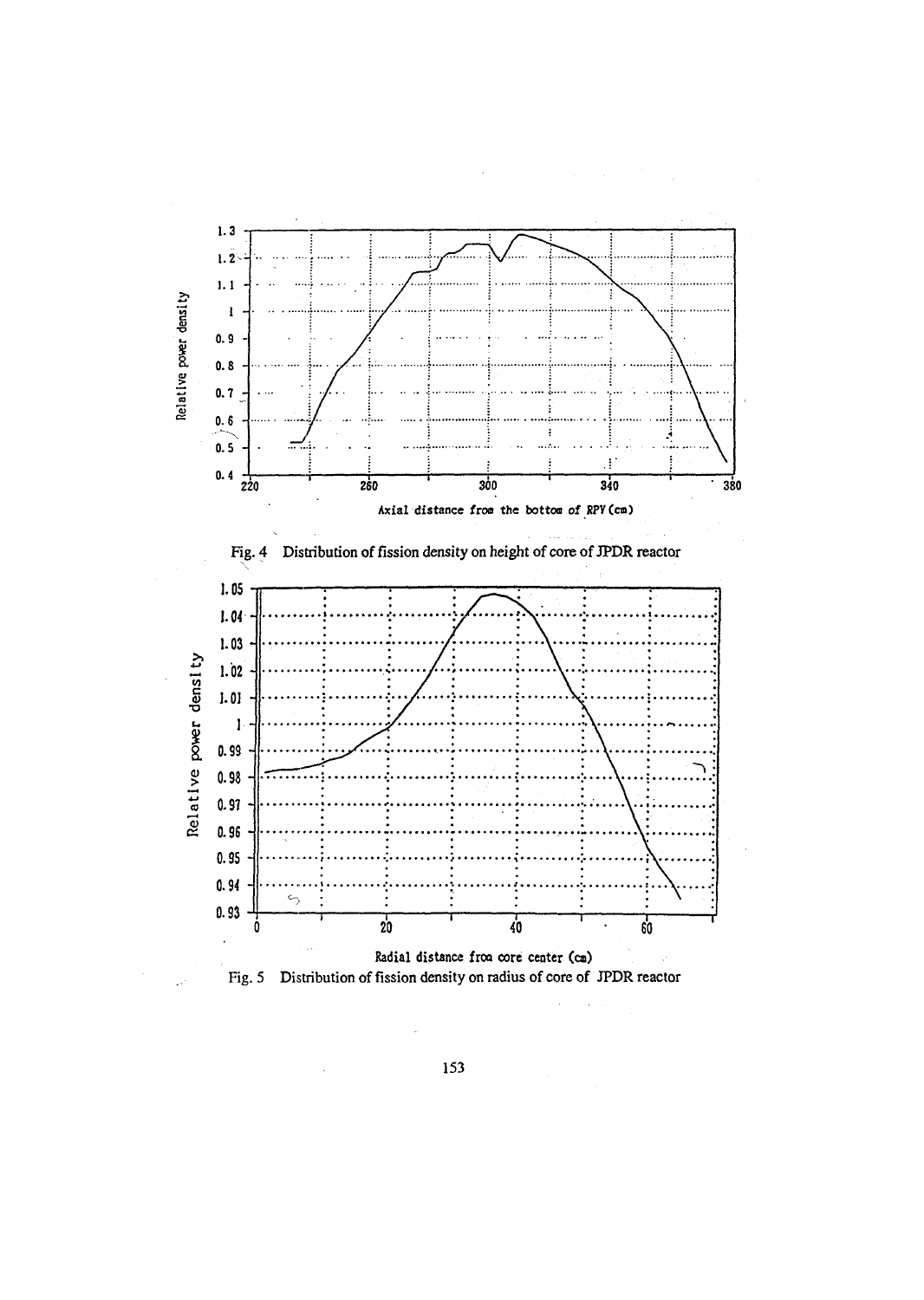

153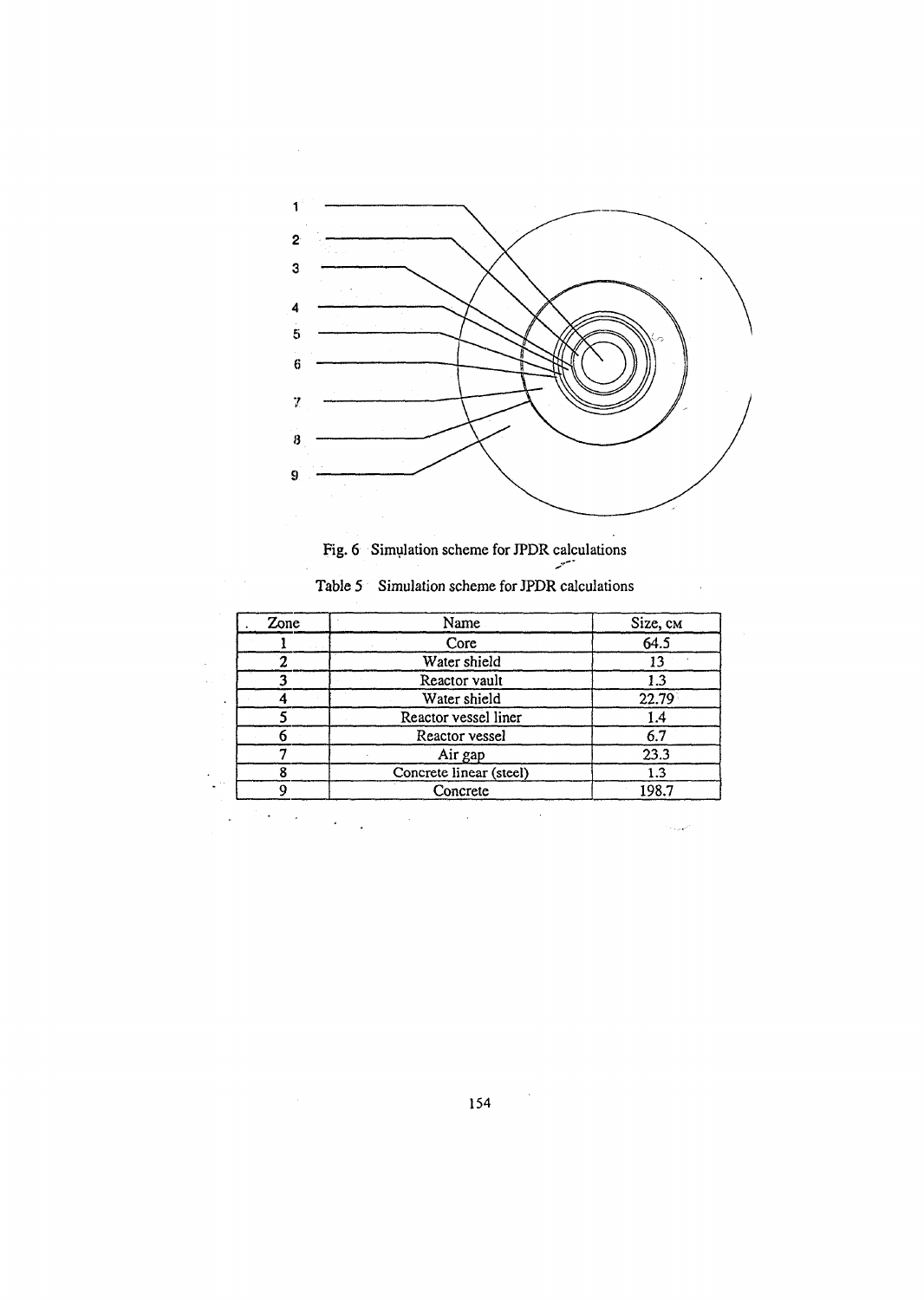

Fig. 6 Simulation scheme for JPDR calculations<br>
See IPDR calculations

| Table 5 Simulation scheme for JPDR calculations |  |  |  |  |  |
|-------------------------------------------------|--|--|--|--|--|
|-------------------------------------------------|--|--|--|--|--|

 $\overline{\phantom{a}}$ 

| $\overline{Z}$ <sub>one</sub><br>Name |                         | Size, cm |
|---------------------------------------|-------------------------|----------|
|                                       | Core                    | 64.5     |
|                                       | Water shield            |          |
|                                       | Reactor vault           |          |
|                                       | Water shield            | 22.79    |
|                                       | Reactor vessel liner    |          |
|                                       | Reactor vessel          | 6.7      |
|                                       | Air gap                 | 23.3     |
|                                       | Concrete linear (steel) | 1.3      |
|                                       | Concrete                | 198.7    |

 $\ddot{\phantom{0}}$  $\bar{\mathcal{A}}$ 

> $\mathcal{O}(\frac{1}{2})$ 154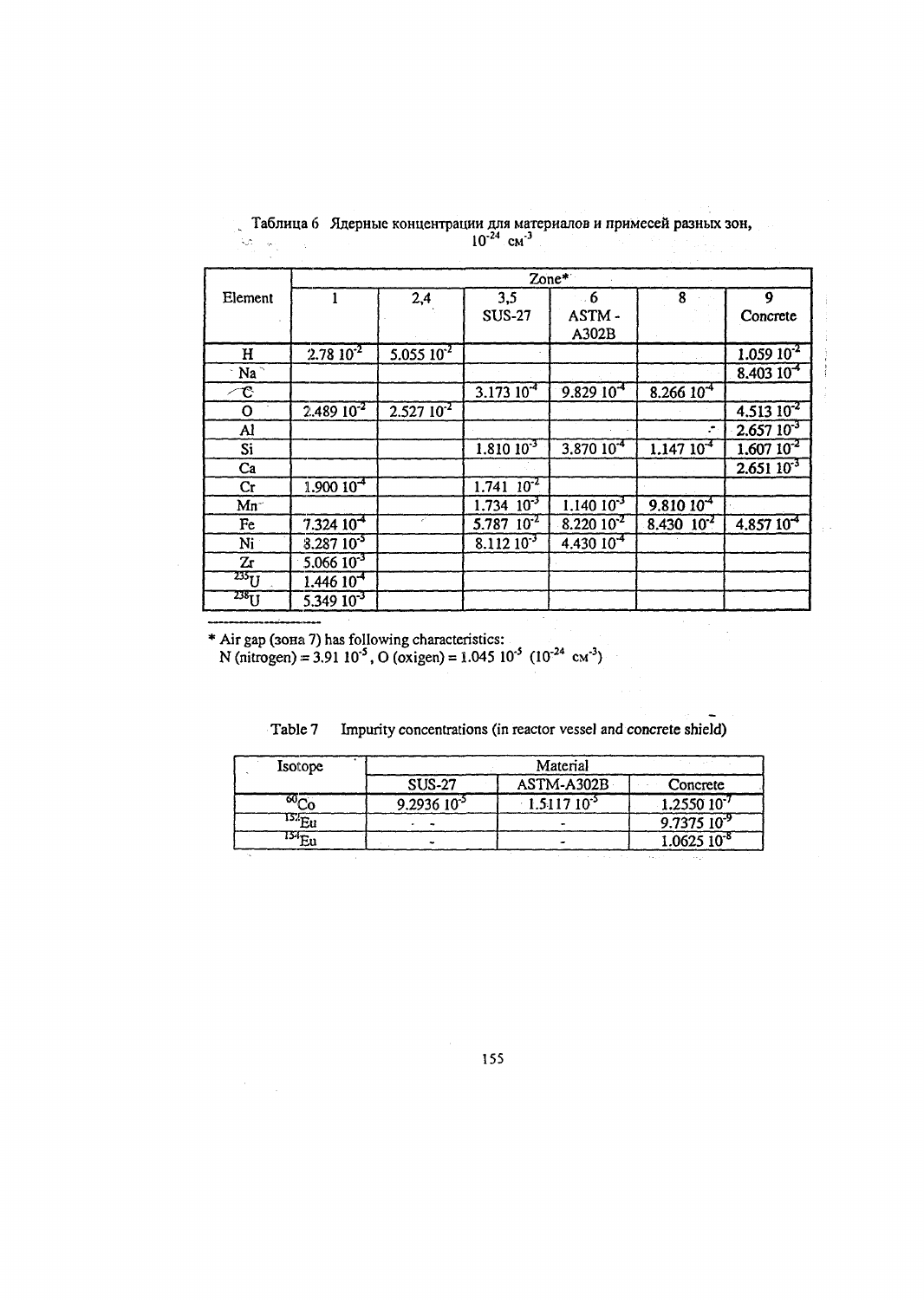|                          |                      |                     |                            | Zone*          |                   |                   |
|--------------------------|----------------------|---------------------|----------------------------|----------------|-------------------|-------------------|
| Element                  |                      | 2,4                 | 3,5                        | $-6$           | 8                 | 9                 |
|                          |                      |                     | <b>SUS-27</b>              | ASTM-          |                   | Concrete          |
|                          |                      |                     |                            | A302B          |                   |                   |
| H                        | $2.7810^{2}$         | $5.05510^{2}$       |                            |                |                   | $1.05910^{2}$     |
| $\overline{\text{Na}^+}$ |                      |                     |                            |                |                   | $8,40310^{4}$     |
| $\tau$                   |                      |                     | $3.17310^{4}$              | $9.82910^{4}$  | $8.26610^{4}$     |                   |
| $\mathbf O$              | $2.48910^{2}$        | $2.52710^{2}$       |                            |                |                   | $4.51310^{2}$     |
| Al                       |                      |                     |                            |                |                   | $2,657$ $10^{-3}$ |
| Si                       |                      |                     | $1.810 10^{-3}$            | $3.87010^{4}$  | $1.14710^{4}$     | $1.60710^{2}$     |
| Ca                       |                      |                     |                            |                |                   | $2.65110^{3}$     |
| Cr                       | $1.90010-4$          |                     | $1.741 \overline{10^{-2}}$ |                |                   |                   |
| $Mn^{-}$                 |                      |                     | $1.734$ $10^{-3}$          | $1.14010^{-3}$ | $9.81010^{4}$     |                   |
| Fe                       | 7.32410 <sup>4</sup> | $\epsilon^{\prime}$ | $5.787 \cdot 10^{-2}$      | $8.22010^{2}$  | $8.430$ $10^{-2}$ | $4.85710^{4}$     |
| Ni                       | $8.28710^{5}$        |                     | $8.11210^{-3}$             | $4.43010^{4}$  |                   |                   |
| Zr                       | $5.06610^{3}$        |                     |                            |                |                   |                   |
| $^{235}$ U               | 1,44610 <sup>4</sup> |                     |                            |                |                   |                   |
| $238$ U                  | $5.34910^{3}$        |                     |                            |                |                   |                   |

 $\pm$   $\pm$ 

Таблица 6 Ядерные концентрации для материалов и примесей разных зон,<br> $10^{-24}$  cm<sup>-3</sup> 

\* Air gap (зона 7) has following characteristics:<br>N (nitrogen) = 3.91 10<sup>-5</sup>, O (oxigen) = 1.045 10<sup>-5</sup> (10<sup>-24</sup> cm<sup>-3</sup>)

| Table 7 | Impurity concentrations (in reactor vessel and concrete shield) |  |  |  |
|---------|-----------------------------------------------------------------|--|--|--|

| Isotope           | Material       |                  |                               |  |  |
|-------------------|----------------|------------------|-------------------------------|--|--|
|                   | <b>SUS-27</b>  | ASTM-A302B       | Concrete                      |  |  |
| ω∼                | $9.293610^{3}$ | $-1.511710^{-5}$ | $1.255010^{7}$                |  |  |
| $^{152}\text{Eu}$ |                |                  | $9.737510^{3}$                |  |  |
| ج الأا            |                |                  | $1.062510^{-8}$               |  |  |
|                   |                |                  | <b>Automobile</b><br>$\cdots$ |  |  |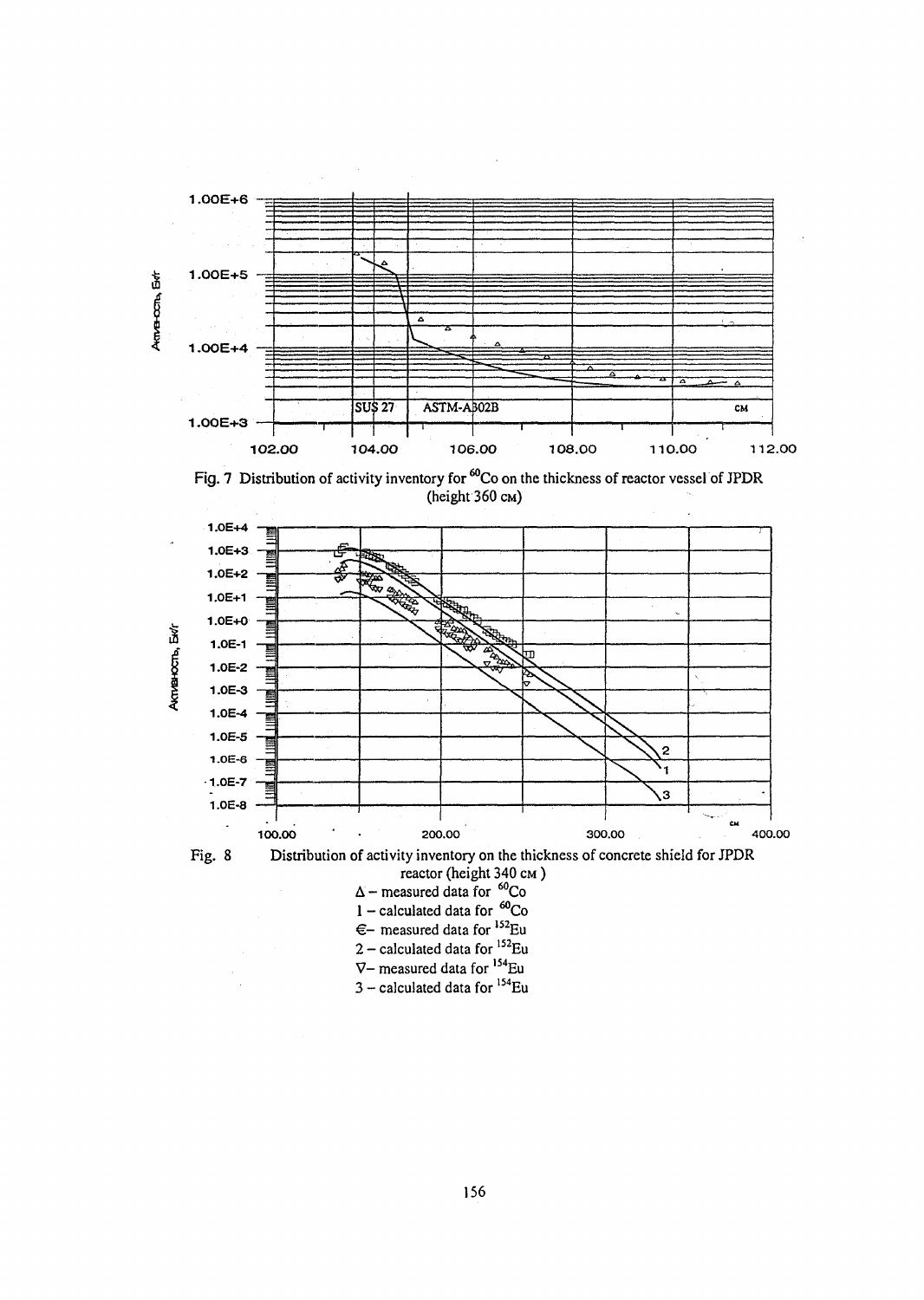

Fig. 7 Distribution of activity inventory for <sup>60</sup>Co on the thickness of reactor vessel of JPDR (height 360 CM)





- Fig. 8 Distribution of activity inventory on the thickness of concrete shield for JPDR reactor (height 340 CM )
	- $\Delta$  measured data for  $^{60}$ Co
	- $1 -$  calculated data for  ${}^{60}Co$
	- €– measured data for <sup>152</sup>Eu
	- 2 calculated data for <sup>152</sup>Eu
	- V- measured data for <sup>154</sup>Eu
	- 3 calculated data for <sup>154</sup>Eu